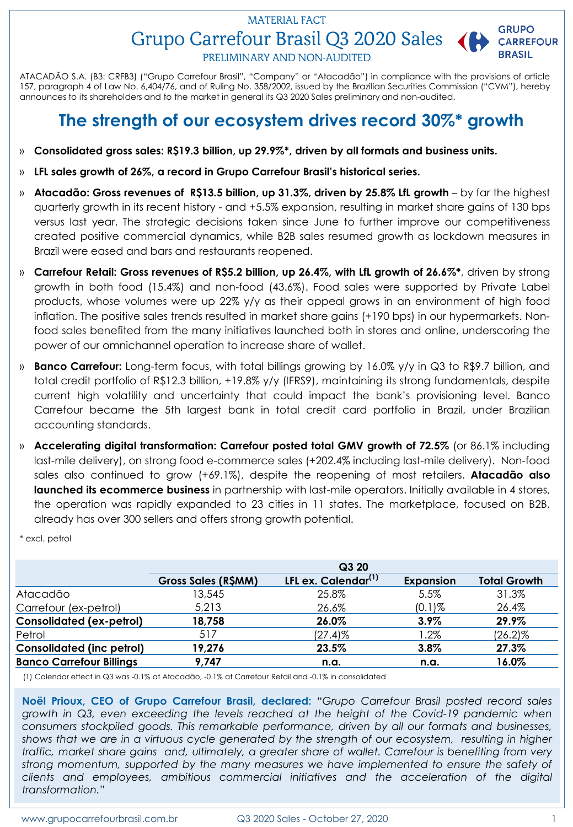# Grupo Carrefour Brasil Q3 2020 Sales MATERIAL FACT



PRELIMINARY AND NON-AUDITED

ATACADÃO S.A. (B3: CRFB3) ("Grupo Carrefour Brasil", "Company" or "Atacadão") in compliance with the provisions of article 157, paragraph 4 of Law No. 6,404/76, and of Ruling No. 358/2002, issued by the Brazilian Securities Commission ("CVM"), hereby announces to its shareholders and to the market in general its Q3 2020 Sales preliminary and non-audited.

# **The strength of our ecosystem drives record 30%\* growth**

- » **Consolidated gross sales: R\$19.3 billion, up 29.9%\*, driven by all formats and business units.**
- » **LFL sales growth of 26%, a record in Grupo Carrefour Brasil's historical series.**
- » **Atacadão: Gross revenues of R\$13.5 billion, up 31.3%, driven by 25.8% LfL growth** by far the highest quarterly growth in its recent history - and +5.5% expansion, resulting in market share gains of 130 bps versus last year. The strategic decisions taken since June to further improve our competitiveness created positive commercial dynamics, while B2B sales resumed growth as lockdown measures in Brazil were eased and bars and restaurants reopened.
- » **Carrefour Retail: Gross revenues of R\$5.2 billion, up 26.4%, with LfL growth of 26.6%\***, driven by strong growth in both food (15.4%) and non-food (43.6%). Food sales were supported by Private Label products, whose volumes were up 22% y/y as their appeal grows in an environment of high food inflation. The positive sales trends resulted in market share gains (+190 bps) in our hypermarkets. Nonfood sales benefited from the many initiatives launched both in stores and online, underscoring the power of our omnichannel operation to increase share of wallet.
- » **Banco Carrefour:** Long-term focus, with total billings growing by 16.0% y/y in Q3 to R\$9.7 billion, and total credit portfolio of R\$12.3 billion, +19.8% y/y (IFRS9), maintaining its strong fundamentals, despite current high volatility and uncertainty that could impact the bank's provisioning level. Banco Carrefour became the 5th largest bank in total credit card portfolio in Brazil, under Brazilian accounting standards.
- » **Accelerating digital transformation: Carrefour posted total GMV growth of 72.5%** (or 86.1% including last-mile delivery), on strong food e-commerce sales (+202.4% including last-mile delivery). Non-food sales also continued to grow (+69.1%), despite the reopening of most retailers. **Atacadão also launched its ecommerce business** in partnership with last-mile operators. Initially available in 4 stores, the operation was rapidly expanded to 23 cities in 11 states. The marketplace, focused on B2B, already has over 300 sellers and offers strong growth potential.

\* excl. petrol

|                                  |                     | Q3 20                           |                  |                     |
|----------------------------------|---------------------|---------------------------------|------------------|---------------------|
|                                  | Gross Sales (R\$MM) | LFL ex. Calendar <sup>(1)</sup> | <b>Expansion</b> | <b>Total Growth</b> |
| Atacadão                         | 13,545              | 25.8%                           | 5.5%             | 31.3%               |
| Carrefour (ex-petrol)            | 5,213               | 26.6%                           | $(0.1)$ %        | 26.4%               |
| <b>Consolidated (ex-petrol)</b>  | 18,758              | 26.0%                           | $3.9\%$          | 29.9%               |
| Petrol                           | 517                 | $(27.4)$ %                      | $1.2\%$          | $(26.2)\%$          |
| <b>Consolidated (inc petrol)</b> | 19,276              | 23.5%                           | 3.8%             | 27.3%               |
| <b>Banco Carrefour Billings</b>  | 9,747               | n.a.                            | n.a.             | 16.0%               |

(1) Calendar effect in Q3 was -0.1% at Atacadão, -0.1% at Carrefour Retail and -0.1% in consolidated

**Noël Prioux, CEO of Grupo Carrefour Brasil, declared:** *"Grupo Carrefour Brasil posted record sales growth in Q3, even exceeding the levels reached at the height of the Covid-19 pandemic when consumers stockpiled goods. This remarkable performance, driven by all our formats and businesses,* shows that we are in a virtuous cycle generated by the strength of our ecosystem, resulting in higher *traffic, market share gains and, ultimately, a greater share of wallet. Carrefour is benefiting from very strong momentum, supported by the many measures we have implemented to ensure the safety of clients and employees, ambitious commercial initiatives and the acceleration of the digital transformation."*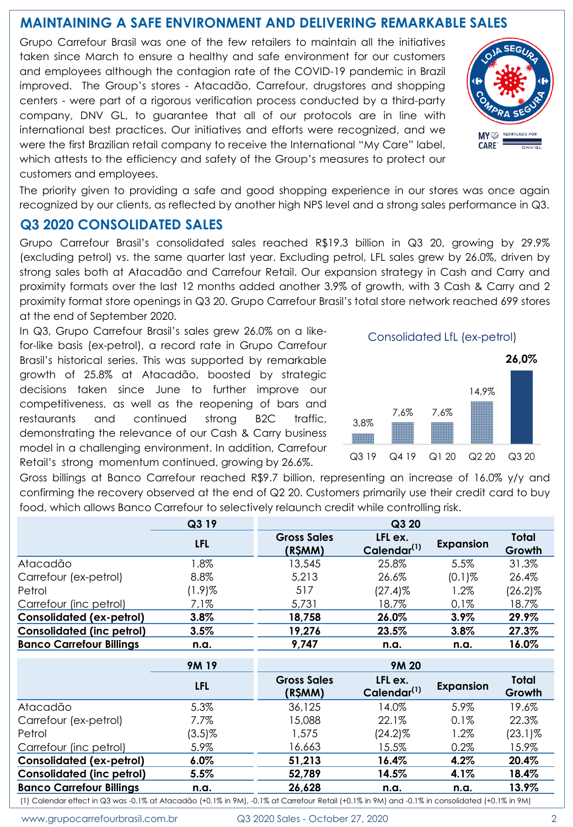## **MAINTAINING A SAFE ENVIRONMENT AND DELIVERING REMARKABLE SALES**

Grupo Carrefour Brasil was one of the few retailers to maintain all the initiatives taken since March to ensure a healthy and safe environment for our customers and employees although the contagion rate of the COVID-19 pandemic in Brazil improved. The Group's stores - Atacadão, Carrefour, drugstores and shopping centers - were part of a rigorous verification process conducted by a third-party company, DNV GL, to guarantee that all of our protocols are in line with international best practices. Our initiatives and efforts were recognized, and we were the first Brazilian retail company to receive the International "My Care" label, which attests to the efficiency and safety of the Group's measures to protect our customers and employees.

The priority given to providing a safe and good shopping experience in our stores was once again recognized by our clients, as reflected by another high NPS level and a strong sales performance in Q3.

## **Q3 2020 CONSOLIDATED SALES**

Grupo Carrefour Brasil's consolidated sales reached R\$19.3 billion in Q3 20, growing by 29.9% (excluding petrol) vs. the same quarter last year. Excluding petrol, LFL sales grew by 26.0%, driven by strong sales both at Atacadão and Carrefour Retail. Our expansion strategy in Cash and Carry and proximity formats over the last 12 months added another 3.9% of growth, with 3 Cash & Carry and 2 proximity format store openings in Q3 20. Grupo Carrefour Brasil's total store network reached 699 stores at the end of September 2020.

In Q3, Grupo Carrefour Brasil's sales grew 26.0% on a likefor-like basis (ex-petrol), a record rate in Grupo Carrefour Brasil's historical series. This was supported by remarkable growth of 25.8% at Atacadão, boosted by strategic decisions taken since June to further improve our competitiveness, as well as the reopening of bars and restaurants and continued strong B2C traffic, demonstrating the relevance of our Cash & Carry business model in a challenging environment. In addition, Carrefour Retail's strong momentum continued, growing by 26.6%.



Gross billings at Banco Carrefour reached R\$9.7 billion, representing an increase of 16.0% y/y and confirming the recovery observed at the end of Q2 20. Customers primarily use their credit card to buy food, which allows Banco Carrefour to selectively relaunch credit while controlling risk.

|                                                                                                                                                | Q3 19        |                               | Q3 20                              |                  |                        |
|------------------------------------------------------------------------------------------------------------------------------------------------|--------------|-------------------------------|------------------------------------|------------------|------------------------|
|                                                                                                                                                | <b>LFL</b>   | <b>Gross Sales</b><br>(R\$MM) | LFL ex.<br>Calendar <sup>(1)</sup> | <b>Expansion</b> | <b>Total</b><br>Growth |
| Atacadão                                                                                                                                       | 1.8%         | 13,545                        | 25.8%                              | 5.5%             | 31.3%                  |
| Carrefour (ex-petrol)                                                                                                                          | 8.8%         | 5,213                         | 26.6%                              | $(0.1)$ %        | 26.4%                  |
| Petrol                                                                                                                                         | $(1.9)$ %    | 517                           | $(27.4)$ %                         | 1.2%             | $(26.2)\%$             |
| Carrefour (inc petrol)                                                                                                                         | 7.1%         | 5,731                         | 18.7%                              | 0.1%             | 18.7%                  |
| <b>Consolidated (ex-petrol)</b>                                                                                                                | 3.8%         | 18,758                        | 26.0%                              | 3.9%             | 29.9%                  |
| <b>Consolidated (inc petrol)</b>                                                                                                               | 3.5%         | 19,276                        | 23.5%                              | 3.8%             | 27.3%                  |
| <b>Banco Carrefour Billings</b>                                                                                                                | n.a.         | 9,747                         | n.a.                               | n.a.             | 16.0%                  |
|                                                                                                                                                | <b>9M 19</b> |                               | <b>9M20</b>                        |                  |                        |
|                                                                                                                                                | <b>LFL</b>   | <b>Gross Sales</b><br>(R\$MM) | LFL ex.<br>Calendar <sup>(1)</sup> | <b>Expansion</b> | <b>Total</b><br>Growth |
| Atacadão                                                                                                                                       | 5.3%         | 36,125                        | 14.0%                              | 5.9%             | 19.6%                  |
| Carrefour (ex-petrol)                                                                                                                          | $7.7\%$      | 15,088                        | 22.1%                              | $0.1\%$          | 22.3%                  |
| Petrol                                                                                                                                         | $(3.5)\%$    | 1,575                         | (24.2)%                            | 1.2%             | (23.1)%                |
| Carrefour (inc petrol)                                                                                                                         | 5.9%         | 16,663                        | 15.5%                              | 0.2%             | 15.9%                  |
| <b>Consolidated (ex-petrol)</b>                                                                                                                | 6.0%         | 51,213                        | 16.4%                              | 4.2%             | 20.4%                  |
| <b>Consolidated (inc petrol)</b>                                                                                                               | 5.5%         | 52,789                        | 14.5%                              | 4.1%             | 18.4%                  |
| <b>Banco Carrefour Billings</b>                                                                                                                | n.a.         | 26,628                        | n.a.                               | n.a.             | 13.9%                  |
| (1) Calendar effect in Q3 was -0.1% at Atacadão (+0.1% in 9M), -0.1% at Carrefour Retail (+0.1% in 9M) and -0.1% in consolidated (+0.1% in 9M) |              |                               |                                    |                  |                        |

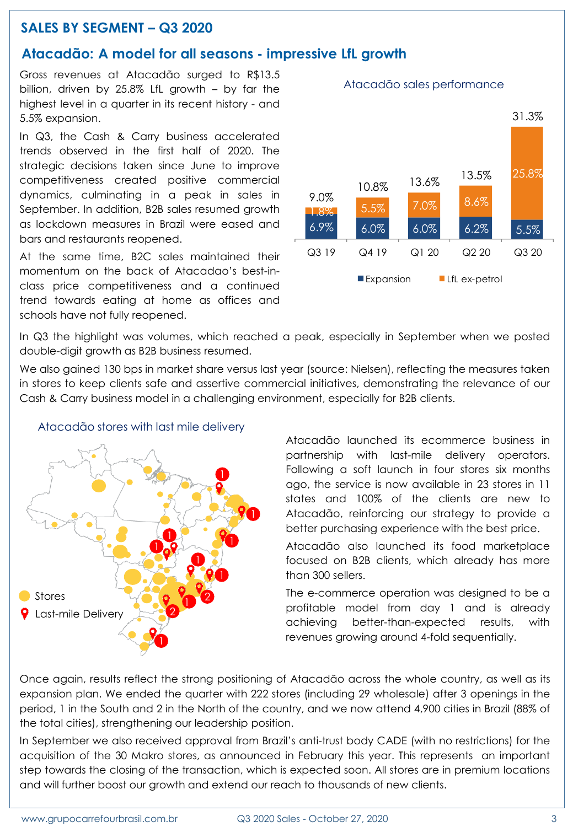## **SALES BY SEGMENT – Q3 2020**

## **Atacadão: A model for all seasons - impressive LfL growth**

Gross revenues at Atacadão surged to R\$13.5 billion, driven by 25.8% LfL growth – by far the highest level in a quarter in its recent history - and 5.5% expansion.

In Q3, the Cash & Carry business accelerated trends observed in the first half of 2020. The strategic decisions taken since June to improve competitiveness created positive commercial dynamics, culminating in a peak in sales in September. In addition, B2B sales resumed growth as lockdown measures in Brazil were eased and bars and restaurants reopened.

At the same time, B2C sales maintained their momentum on the back of Atacadao's best-inclass price competitiveness and a continued trend towards eating at home as offices and schools have not fully reopened.



In Q3 the highlight was volumes, which reached a peak, especially in September when we posted double-digit growth as B2B business resumed.

We also gained 130 bps in market share versus last year (source: Nielsen), reflecting the measures taken in stores to keep clients safe and assertive commercial initiatives, demonstrating the relevance of our Cash & Carry business model in a challenging environment, especially for B2B clients.



Atacadão stores with last mile delivery

Atacadão launched its ecommerce business in partnership with last-mile delivery operators. Following a soft launch in four stores six months ago, the service is now available in 23 stores in 11 states and 100% of the clients are new to Atacadão, reinforcing our strategy to provide a better purchasing experience with the best price.

Atacadão also launched its food marketplace focused on B2B clients, which already has more than 300 sellers.

The e-commerce operation was designed to be a profitable model from day 1 and is already achieving better-than-expected results, with revenues growing around 4-fold sequentially.

Once again, results reflect the strong positioning of Atacadão across the whole country, as well as its expansion plan. We ended the quarter with 222 stores (including 29 wholesale) after 3 openings in the period, 1 in the South and 2 in the North of the country, and we now attend 4,900 cities in Brazil (88% of the total cities), strengthening our leadership position.

In September we also received approval from Brazil's anti-trust body CADE (with no restrictions) for the acquisition of the 30 Makro stores, as announced in February this year. This represents an important step towards the closing of the transaction, which is expected soon. All stores are in premium locations and will further boost our growth and extend our reach to thousands of new clients.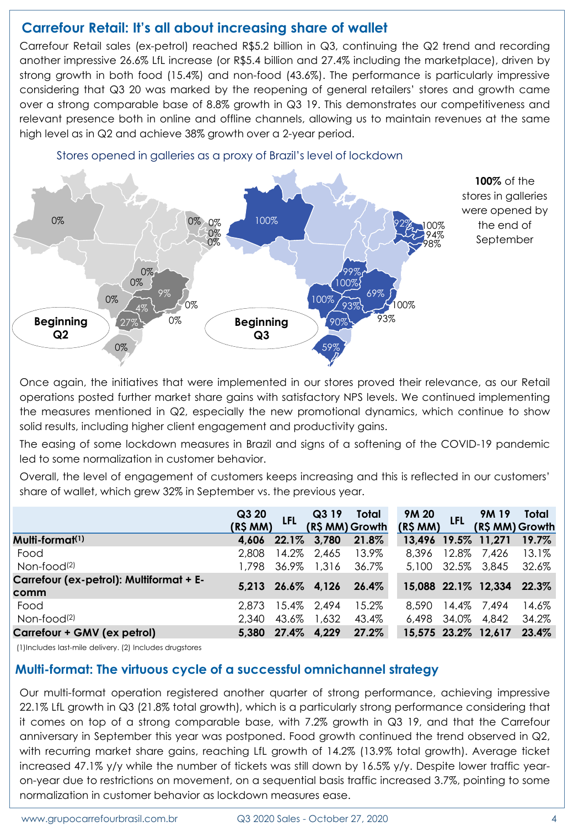## **Carrefour Retail: It's all about increasing share of wallet**

Carrefour Retail sales (ex-petrol) reached R\$5.2 billion in Q3, continuing the Q2 trend and recording another impressive 26.6% LfL increase (or R\$5.4 billion and 27.4% including the marketplace), driven by strong growth in both food (15.4%) and non-food (43.6%). The performance is particularly impressive considering that Q3 20 was marked by the reopening of general retailers' stores and growth came over a strong comparable base of 8.8% growth in Q3 19. This demonstrates our competitiveness and relevant presence both in online and offline channels, allowing us to maintain revenues at the same high level as in Q2 and achieve 38% growth over a 2-year period.



Once again, the initiatives that were implemented in our stores proved their relevance, as our Retail operations posted further market share gains with satisfactory NPS levels. We continued implementing the measures mentioned in Q2, especially the new promotional dynamics, which continue to show solid results, including higher client engagement and productivity gains.

The easing of some lockdown measures in Brazil and signs of a softening of the COVID-19 pandemic led to some normalization in customer behavior.

Overall, the level of engagement of customers keeps increasing and this is reflected in our customers' share of wallet, which grew 32% in September vs. the previous year.

|                                                 | Q3 20<br>(R\$MM) | LFL   | Q319<br>(R\$ MM) Growth | Total    | <b>9M 20</b><br>(R\$MM) | <b>LFL</b> | 9M 19<br>(R\$ MM) Growth | Total    |
|-------------------------------------------------|------------------|-------|-------------------------|----------|-------------------------|------------|--------------------------|----------|
| Multi-format <sup>(1)</sup>                     | 4.606            |       | 22.1% 3,780             | 21.8%    |                         |            | 13,496 19.5% 11,271      | 19.7%    |
| Food                                            | 2,808            | 14.2% | 2,465                   | 13.9%    | 8,396                   |            | 12.8% 7,426              | $13.1\%$ |
| Non-food <sup>(2)</sup>                         | 1.798            | 36.9% | 1,316                   | 36.7%    | 5,100                   |            | 32.5% 3,845              | 32.6%    |
| Carrefour (ex-petrol): Multiformat + E-<br>comm |                  |       | $5,213$ $26.6\%$ 4,126  | $26.4\%$ |                         |            | 15,088 22.1% 12,334      | 22.3%    |
| Food                                            | 2.873            |       | 15.4% 2,494             | 15.2%    | 8.590                   |            | 14.4% 7.494              | 14.6%    |
| Non-food <sup>(2)</sup>                         | 2.340            | 43.6% | 1,632                   | 43.4%    | 6.498                   | 34.0%      | 4,842                    | 34.2%    |
| Carrefour + GMV (ex petrol)                     | 5.380            |       | 27.4% 4,229             | 27.2%    |                         |            | 15,575 23.2% 12,617      | 23.4%    |

(1)Includes last-mile delivery. (2) Includes drugstores

## **Multi-format: The virtuous cycle of a successful omnichannel strategy**

Our multi-format operation registered another quarter of strong performance, achieving impressive 22.1% LfL growth in Q3 (21.8% total growth), which is a particularly strong performance considering that it comes on top of a strong comparable base, with 7.2% growth in Q3 19, and that the Carrefour anniversary in September this year was postponed. Food growth continued the trend observed in Q2, with recurring market share gains, reaching LfL growth of 14.2% (13.9% total growth). Average ticket increased 47.1% y/y while the number of tickets was still down by 16.5% y/y. Despite lower traffic yearon-year due to restrictions on movement, on a sequential basis traffic increased 3.7%, pointing to some normalization in customer behavior as lockdown measures ease.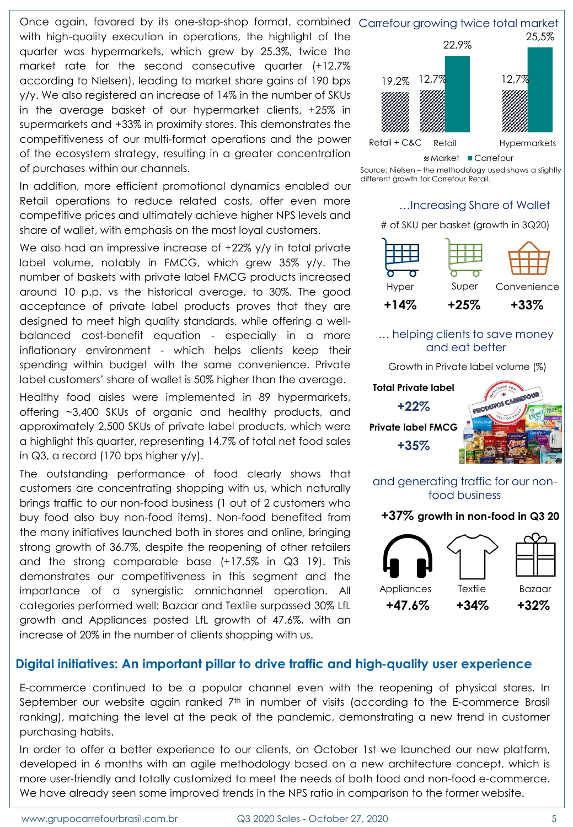Once again, favored by its one-stop-shop format, combined Carrefour growing twice total market

with high-quality execution in operations, the highlight of the quarter was hypermarkets, which grew by 25.3%, twice the market rate for the second consecutive quarter (+12.7% according to Nielsen), leading to market share gains of 190 bps y/y. We also registered an increase of 14% in the number of SKUs in the average basket of our hypermarket clients, +25% in supermarkets and +33% in proximity stores. This demonstrates the competitiveness of our multi-format operations and the power of the ecosystem strategy, resulting in a greater concentration of purchases within our channels.

In addition, more efficient promotional dynamics enabled our Retail operations to reduce related costs, offer even more competitive prices and ultimately achieve higher NPS levels and share of wallet, with emphasis on the most loyal customers.

We also had an impressive increase of +22% y/y in total private label volume, notably in FMCG, which grew 35% y/y. The number of baskets with private label FMCG products increased around 10 p.p. vs the historical average, to 30%. The good acceptance of private label products proves that they are designed to meet high quality standards, while offering a wellbalanced cost-benefit equation - especially in a more inflationary environment - which helps clients keep their spending within budget with the same convenience. Private label customers' share of wallet is 50% higher than the average.

Healthy food aisles were implemented in 89 hypermarkets, offering ~3,400 SKUs of organic and healthy products, and approximately 2,500 SKUs of private label products, which were a highlight this quarter, representing 14.7% of total net food sales in Q3, a record (170 bps higher y/y).

The outstanding performance of food clearly shows that customers are concentrating shopping with us, which naturally brings traffic to our non-food business (1 out of 2 customers who buy food also buy non-food items). Non-food benefited from the many initiatives launched both in stores and online, bringing strong growth of 36.7%, despite the reopening of other retailers and the strong comparable base (+17.5% in Q3 19). This demonstrates our competitiveness in this segment and the importance of a synergistic omnichannel operation. All categories performed well: Bazaar and Textile surpassed 30% LfL growth and Appliances posted LfL growth of 47.6%, with an increase of 20% in the number of clients shopping with us.





#### … helping clients to save money and eat better

Growth in Private label volume (%)



food business **+37% growth in non-food in Q3 20**



## **Digital initiatives: An important pillar to drive traffic and high-quality user experience**

E-commerce continued to be a popular channel even with the reopening of physical stores. In September our website again ranked 7th in number of visits (according to the E-commerce Brasil ranking), matching the level at the peak of the pandemic, demonstrating a new trend in customer purchasing habits.

In order to offer a better experience to our clients, on October 1st we launched our new platform, developed in 6 months with an agile methodology based on a new architecture concept, which is more user-friendly and totally customized to meet the needs of both food and non-food e-commerce. We have already seen some improved trends in the NPS ratio in comparison to the former website.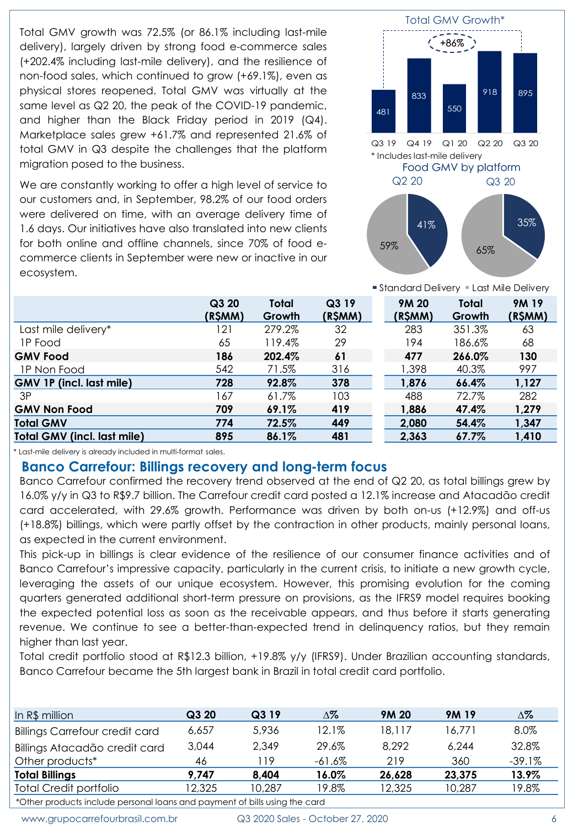Total GMV growth was 72.5% (or 86.1% including last-mile delivery), largely driven by strong food e-commerce sales (+202.4% including last-mile delivery), and the resilience of non-food sales, which continued to grow (+69.1%), even as physical stores reopened. Total GMV was virtually at the same level as Q2 20, the peak of the COVID-19 pandemic, and higher than the Black Friday period in 2019 (Q4). Marketplace sales grew +61.7% and represented 21.6% of total GMV in Q3 despite the challenges that the platform migration posed to the business.

We are constantly working to offer a high level of service to our customers and, in September, 98.2% of our food orders were delivered on time, with an average delivery time of 1.6 days. Our initiatives have also translated into new clients for both online and offline channels, since 70% of food ecommerce clients in September were new or inactive in our ecosystem.



■ Standard Delivery ■ Last Mile Delivery **9M 20**

|                                    | Q3 20   | Total  | Q3 19   | 9M 20   | <b>Total</b> | <b>9M19</b> |
|------------------------------------|---------|--------|---------|---------|--------------|-------------|
|                                    | (R\$MM) | Growth | (R\$MM) | (R\$MM) | Growth       | (R\$MM)     |
| Last mile delivery*                | 121     | 279.2% | 32      | 283     | 351.3%       | 63          |
| <b>IP Food</b>                     | 65      | 119.4% | 29      | 194     | 186.6%       | 68          |
| <b>GMV Food</b>                    | 186     | 202.4% | 61      | 477     | 266.0%       | 130         |
| 1P Non Food                        | 542     | 71.5%  | 316     | 1,398   | 40.3%        | 997         |
| <b>GMV 1P (incl. last mile)</b>    | 728     | 92.8%  | 378     | 1,876   | 66.4%        | 1,127       |
| 3P                                 | 167     | 61.7%  | 103     | 488     | 72.7%        | 282         |
| <b>GMV Non Food</b>                | 709     | 69.1%  | 419     | 1,886   | 47.4%        | 1,279       |
| <b>Total GMV</b>                   | 774     | 72.5%  | 449     | 2,080   | 54.4%        | 1,347       |
| <b>Total GMV (incl. last mile)</b> | 895     | 86.1%  | 481     | 2,363   | 67.7%        | 1,410       |

\* Last-mile delivery is already included in multi-format sales.

#### **Banco Carrefour: Billings recovery and long-term focus**

Banco Carrefour confirmed the recovery trend observed at the end of Q2 20, as total billings grew by 16.0% y/y in Q3 to R\$9.7 billion. The Carrefour credit card posted a 12.1% increase and Atacadão credit card accelerated, with 29.6% growth. Performance was driven by both on-us (+12.9%) and off-us (+18.8%) billings, which were partly offset by the contraction in other products, mainly personal loans, as expected in the current environment.

This pick-up in billings is clear evidence of the resilience of our consumer finance activities and of Banco Carrefour's impressive capacity, particularly in the current crisis, to initiate a new growth cycle, leveraging the assets of our unique ecosystem. However, this promising evolution for the coming quarters generated additional short-term pressure on provisions, as the IFRS9 model requires booking the expected potential loss as soon as the receivable appears, and thus before it starts generating revenue. We continue to see a better-than-expected trend in delinquency ratios, but they remain higher than last year.

Total credit portfolio stood at R\$12.3 billion, +19.8% y/y (IFRS9). Under Brazilian accounting standards, Banco Carrefour became the 5th largest bank in Brazil in total credit card portfolio.

| In R\$ million                        | Q3 20  | Q3 19  | ∆%       | 9M 20  | 9M 19  | Δ%       |
|---------------------------------------|--------|--------|----------|--------|--------|----------|
| <b>Billings Carrefour credit card</b> | 6.657  | 5.936  | $12.1\%$ | 18.117 | 16.771 | 8.0%     |
| Billings Atacadão credit card         | 3.044  | 2.349  | 29.6%    | 8.292  | 6.244  | 32.8%    |
| Other products*                       | 46     | 119    | -61.6%   | 219    | 360    | $-39.1%$ |
| <b>Total Billings</b>                 | 9.747  | 8.404  | 16.0%    | 26.628 | 23,375 | 13.9%    |
| <b>Total Credit portfolio</b>         | 12,325 | 10.287 | 19.8%    | 12,325 | 10.287 | 19.8%    |

\*Other products include personal loans and payment of bills using the card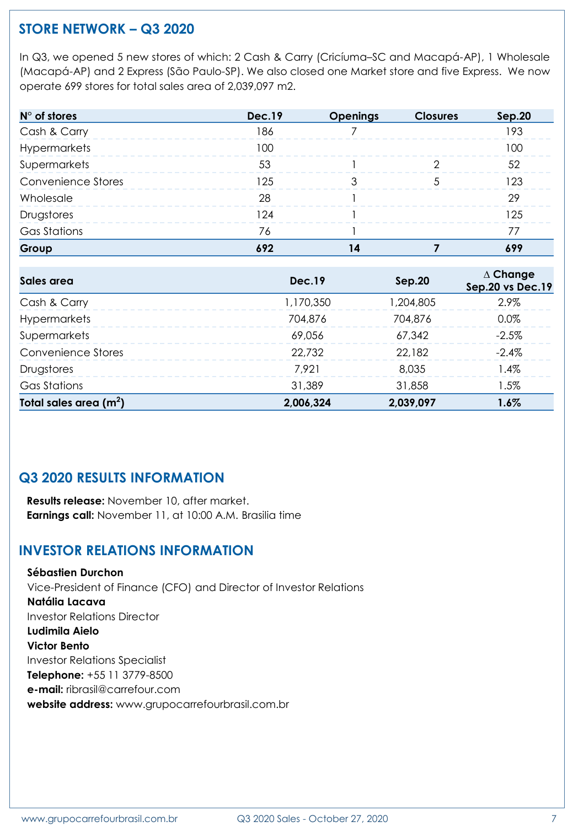# **STORE NETWORK – Q3 2020**

In Q3, we opened 5 new stores of which: 2 Cash & Carry (Cricíuma–SC and Macapá-AP), 1 Wholesale (Macapá-AP) and 2 Express (São Paulo-SP). We also closed one Market store and five Express. We now operate 699 stores for total sales area of 2,039,097 m2.

| $N^{\circ}$ of stores     | <b>Dec.19</b> | <b>Openings</b> | <b>Closures</b> | Sep.20 |
|---------------------------|---------------|-----------------|-----------------|--------|
| Cash & Carry              | 186           |                 |                 | 193    |
| Hypermarkets              | 00            |                 |                 | M      |
| Supermarkets              | 53            |                 |                 | 52     |
| <b>Convenience Stores</b> | 125           |                 |                 | -23    |
| Wholesale                 | 28            |                 |                 | 29     |
| Drugstores                | -24           |                 |                 |        |
| <b>Gas Stations</b>       | 76            |                 |                 |        |
| Group                     |               |                 |                 |        |

| Sales area                | Dec.19    | Sep.20    | $\Delta$ Change<br>Sep.20 vs Dec.19 |
|---------------------------|-----------|-----------|-------------------------------------|
| Cash & Carry              | 1,170,350 | 1,204,805 | $2.9\%$                             |
| <b>Hypermarkets</b>       | 704,876   | 704,876   | $0.0\%$                             |
| Supermarkets              | 69.056    | 67.342    | $-2.5\%$                            |
| <b>Convenience Stores</b> | 22,732    | 22,182    | $-2.4\%$                            |
| Drugstores                | 7.921     | 8.035     | $1.4\%$                             |
| Gas Stations              | 31,389    | 31,858    | $1.5\%$                             |
| Total sales area $(m2)$   | 2,006,324 | 2,039,097 | 1.6%                                |

# **Q3 2020 RESULTS INFORMATION**

**Results release:** November 10, after market. **Earnings call:** November 11, at 10:00 A.M. Brasilia time

## **INVESTOR RELATIONS INFORMATION**

**Sébastien Durchon** Vice-President of Finance (CFO) and Director of Investor Relations **Natália Lacava** Investor Relations Director **Ludimila Aielo Victor Bento** Investor Relations Specialist **Telephone:** +55 11 3779-8500 **e-mail:** ribrasil@carrefour.com **website address:** www.grupocarrefourbrasil.com.br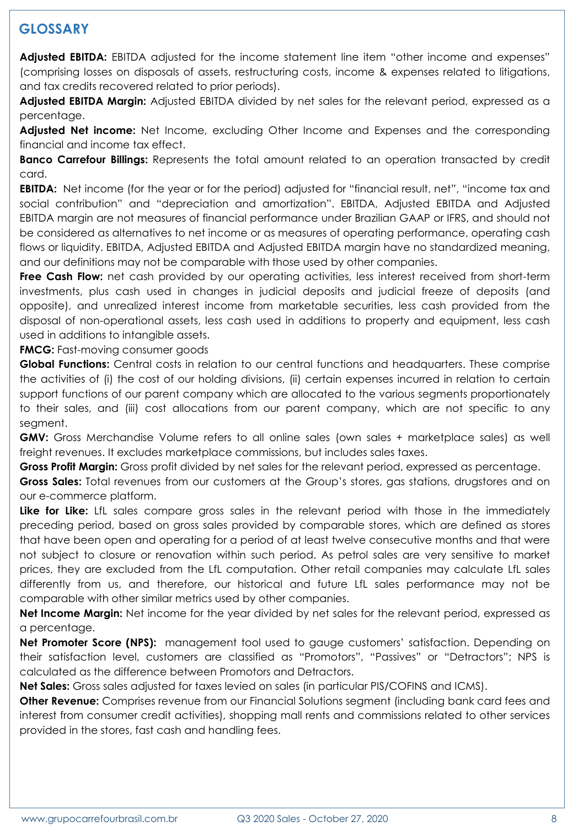# **GLOSSARY**

**Adjusted EBITDA:** EBITDA adjusted for the income statement line item "other income and expenses" (comprising losses on disposals of assets, restructuring costs, income & expenses related to litigations, and tax credits recovered related to prior periods).

**Adjusted EBITDA Margin:** Adjusted EBITDA divided by net sales for the relevant period, expressed as a percentage.

**Adjusted Net income:** Net Income, excluding Other Income and Expenses and the corresponding financial and income tax effect.

**Banco Carrefour Billings:** Represents the total amount related to an operation transacted by credit card.

**EBITDA:** Net income (for the year or for the period) adjusted for "financial result, net", "income tax and social contribution" and "depreciation and amortization". EBITDA, Adjusted EBITDA and Adjusted EBITDA margin are not measures of financial performance under Brazilian GAAP or IFRS, and should not be considered as alternatives to net income or as measures of operating performance, operating cash flows or liquidity. EBITDA, Adjusted EBITDA and Adjusted EBITDA margin have no standardized meaning, and our definitions may not be comparable with those used by other companies.

**Free Cash Flow:** net cash provided by our operating activities, less interest received from short-term investments, plus cash used in changes in judicial deposits and judicial freeze of deposits (and opposite), and unrealized interest income from marketable securities, less cash provided from the disposal of non-operational assets, less cash used in additions to property and equipment, less cash used in additions to intangible assets.

**FMCG:** Fast-moving consumer goods

**Global Functions:** Central costs in relation to our central functions and headquarters. These comprise the activities of (i) the cost of our holding divisions, (ii) certain expenses incurred in relation to certain support functions of our parent company which are allocated to the various segments proportionately to their sales, and (iii) cost allocations from our parent company, which are not specific to any segment.

**GMV:** Gross Merchandise Volume refers to all online sales (own sales + marketplace sales) as well freight revenues. It excludes marketplace commissions, but includes sales taxes.

**Gross Profit Margin:** Gross profit divided by net sales for the relevant period, expressed as percentage.

**Gross Sales:** Total revenues from our customers at the Group's stores, gas stations, drugstores and on our e-commerce platform.

**Like for Like:** LfL sales compare gross sales in the relevant period with those in the immediately preceding period, based on gross sales provided by comparable stores, which are defined as stores that have been open and operating for a period of at least twelve consecutive months and that were not subject to closure or renovation within such period. As petrol sales are very sensitive to market prices, they are excluded from the LfL computation. Other retail companies may calculate LfL sales differently from us, and therefore, our historical and future LfL sales performance may not be comparable with other similar metrics used by other companies.

**Net Income Margin:** Net income for the year divided by net sales for the relevant period, expressed as a percentage.

**Net Promoter Score (NPS):** management tool used to gauge customers' satisfaction. Depending on their satisfaction level, customers are classified as "Promotors", "Passives" or "Detractors"; NPS is calculated as the difference between Promotors and Detractors.

**Net Sales:** Gross sales adjusted for taxes levied on sales (in particular PIS/COFINS and ICMS).

**Other Revenue:** Comprises revenue from our Financial Solutions segment (including bank card fees and interest from consumer credit activities), shopping mall rents and commissions related to other services provided in the stores, fast cash and handling fees.